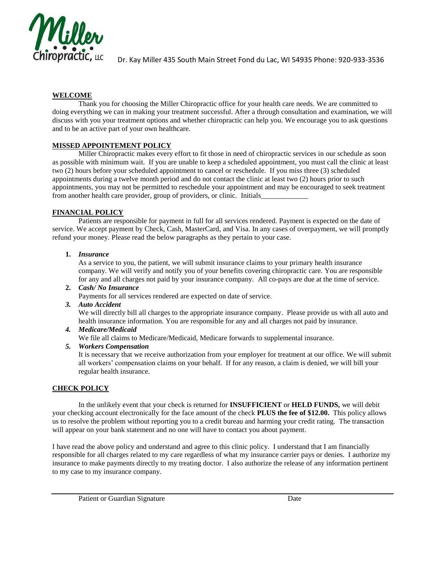

 $\rm \overline{oprac}$  , <code>LC</code>  $\rm_{Dr.}$  Kay Miller 435 South Main Street Fond du Lac, WI 54935 Phone: 920-933-3536

# **WELCOME**

Thank you for choosing the Miller Chiropractic office for your health care needs. We are committed to doing everything we can in making your treatment successful. After a through consultation and examination, we will discuss with you your treatment options and whether chiropractic can help you. We encourage you to ask questions and to be an active part of your own healthcare.

# **MISSED APPOINTEMENT POLICY**

Miller Chiropractic makes every effort to fit those in need of chiropractic services in our schedule as soon as possible with minimum wait. If you are unable to keep a scheduled appointment, you must call the clinic at least two (2) hours before your scheduled appointment to cancel or reschedule. If you miss three (3) scheduled appointments during a twelve month period and do not contact the clinic at least two (2) hours prior to such appointments, you may not be permitted to reschedule your appointment and may be encouraged to seek treatment from another health care provider, group of providers, or clinic. Initials

## **FINANCIAL POLICY**

Patients are responsible for payment in full for all services rendered. Payment is expected on the date of service. We accept payment by Check, Cash, MasterCard, and Visa. In any cases of overpayment, we will promptly refund your money. Please read the below paragraphs as they pertain to your case.

## **1.** *Insurance*

As a service to you, the patient, we will submit insurance claims to your primary health insurance company. We will verify and notify you of your benefits covering chiropractic care. You are responsible for any and all charges not paid by your insurance company. All co-pays are due at the time of service.

### **2.** *Cash/ No Insurance*

Payments for all services rendered are expected on date of service.

#### *3. Auto Accident*

We will directly bill all charges to the appropriate insurance company. Please provide us with all auto and health insurance information. You are responsible for any and all charges not paid by insurance.

#### *4. Medicare/Medicaid*

We file all claims to Medicare/Medicaid, Medicare forwards to supplemental insurance.

## *5. Workers Compensation*

It is necessary that we receive authorization from your employer for treatment at our office. We will submit all workers' compensation claims on your behalf. If for any reason, a claim is denied, we will bill your regular health insurance.

## **CHECK POLICY**

In the unlikely event that your check is returned for **INSUFFICIENT** or **HELD FUNDS,** we will debit your checking account electronically for the face amount of the check **PLUS the fee of \$12.00.** This policy allows us to resolve the problem without reporting you to a credit bureau and harming your credit rating. The transaction will appear on your bank statement and no one will have to contact you about payment.

I have read the above policy and understand and agree to this clinic policy. I understand that I am financially responsible for all charges related to my care regardless of what my insurance carrier pays or denies. I authorize my insurance to make payments directly to my treating doctor. I also authorize the release of any information pertinent to my case to my insurance company.